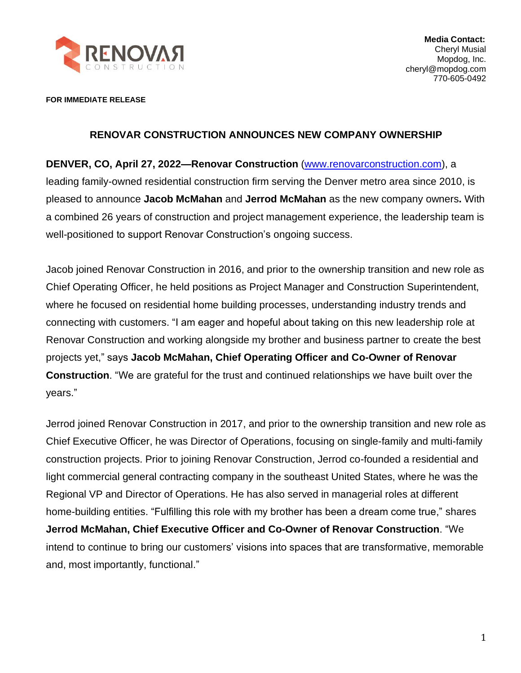

**FOR IMMEDIATE RELEASE**

## **RENOVAR CONSTRUCTION ANNOUNCES NEW COMPANY OWNERSHIP**

**DENVER, CO, April 27, 2022—Renovar Construction** [\(www.renovarconstruction.com\)](https://renovarconstruction.com/), a leading family-owned residential construction firm serving the Denver metro area since 2010, is pleased to announce **Jacob McMahan** and **Jerrod McMahan** as the new company owners**.** With a combined 26 years of construction and project management experience, the leadership team is well-positioned to support Renovar Construction's ongoing success.

Jacob joined Renovar Construction in 2016, and prior to the ownership transition and new role as Chief Operating Officer, he held positions as Project Manager and Construction Superintendent, where he focused on residential home building processes, understanding industry trends and connecting with customers. "I am eager and hopeful about taking on this new leadership role at Renovar Construction and working alongside my brother and business partner to create the best projects yet," says **Jacob McMahan, Chief Operating Officer and Co-Owner of Renovar Construction**. "We are grateful for the trust and continued relationships we have built over the years."

Jerrod joined Renovar Construction in 2017, and prior to the ownership transition and new role as Chief Executive Officer, he was Director of Operations, focusing on single-family and multi-family construction projects. Prior to joining Renovar Construction, Jerrod co-founded a residential and light commercial general contracting company in the southeast United States, where he was the Regional VP and Director of Operations. He has also served in managerial roles at different home-building entities. "Fulfilling this role with my brother has been a dream come true," shares **Jerrod McMahan, Chief Executive Officer and Co-Owner of Renovar Construction**. "We intend to continue to bring our customers' visions into spaces that are transformative, memorable and, most importantly, functional."